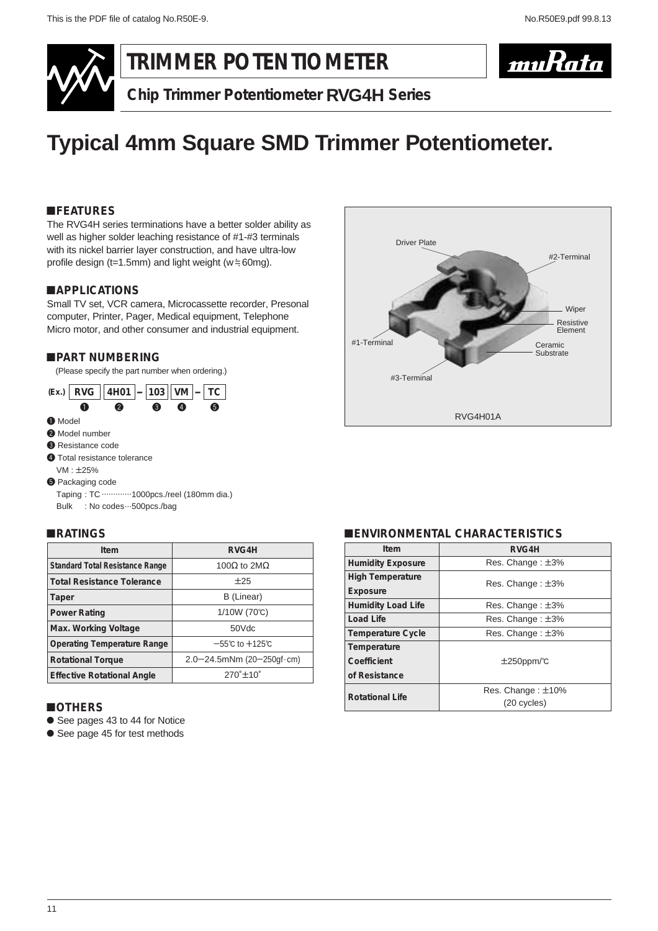

## **TRIMMER POTENTIOMETER**



**Chip Trimmer Potentiometer RVG4H Series**

# **Typical 4mm Square SMD Trimmer Potentiometer.**

#### !**FEATURES**

The RVG4H series terminations have a better solder ability as well as higher solder leaching resistance of #1-#3 terminals with its nickel barrier layer construction, and have ultra-low profile design ( $t=1.5$ mm) and light weight ( $w = 60$ mg).

#### !**APPLICATIONS**

Small TV set, VCR camera, Microcassette recorder, Presonal computer, Printer, Pager, Medical equipment, Telephone Micro motor, and other consumer and industrial equipment.

#### !**PART NUMBERING**

(Please specify the part number when ordering.)



 $VM: ±25%$ 

**6** Packaging code

Taping : TC .............1000pcs./reel (180mm dia.) Bulk : No codes...500pcs./bag

#### !**RATINGS**

| Item                                   | RVG4H                               |
|----------------------------------------|-------------------------------------|
| <b>Standard Total Resistance Range</b> | 100 $\Omega$ to 2M $\Omega$         |
| <b>Total Resistance Tolerance</b>      | ±25                                 |
| Taper                                  | B (Linear)                          |
| <b>Power Rating</b>                    | 1/10W (70℃)                         |
| Max. Working Voltage                   | 50Vdc                               |
| <b>Operating Temperature Range</b>     | $-55^{\circ}$ C to $+125^{\circ}$ C |
| <b>Rotational Torque</b>               | 2.0-24.5mNm (20-250gf·cm)           |
| <b>Effective Rotational Angle</b>      | $270^{\circ}$ ±10 $^{\circ}$        |

#### !**OTHERS**

- See pages 43 to 44 for Notice
- See page 45 for test methods



#### !**ENVIRONMENTAL CHARACTERISTICS**

| Item                      | RVG4H                                 |
|---------------------------|---------------------------------------|
| <b>Humidity Exposure</b>  | Res. Change: ±3%                      |
| <b>High Temperature</b>   | Res. Change: ±3%                      |
| Exposure                  |                                       |
| <b>Humidity Load Life</b> | Res. Change: $\pm 3\%$                |
| Load Life                 | Res. Change: ±3%                      |
| <b>Temperature Cycle</b>  | Res. Change: ±3%                      |
| Temperature               |                                       |
| Coefficient               | $\pm 250$ ppm/°C                      |
| of Resistance             |                                       |
| <b>Rotational Life</b>    | Res. Change: $\pm$ 10%<br>(20 cycles) |